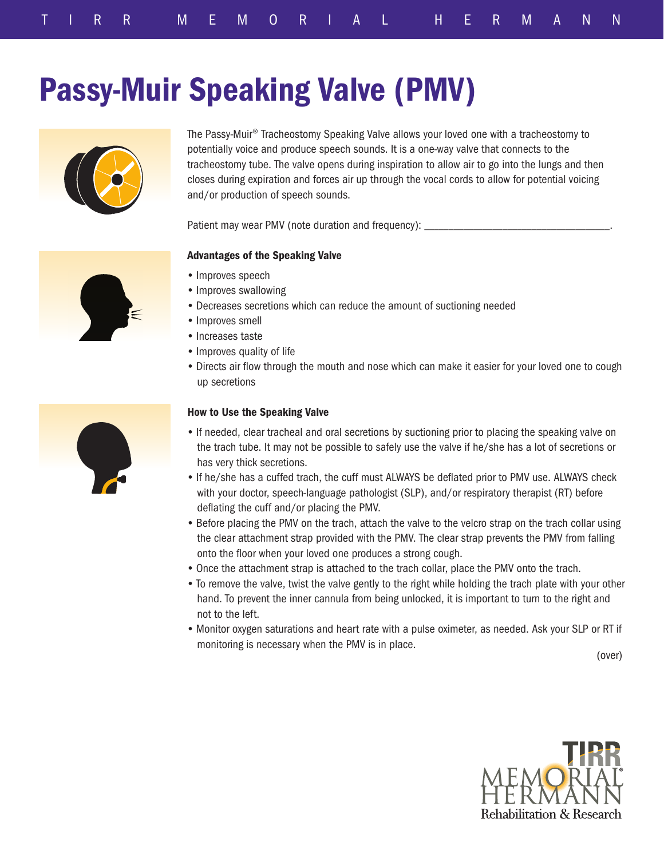# Passy-Muir Speaking Valve (PMV)



The Passy-Muir® Tracheostomy Speaking Valve allows your loved one with a tracheostomy to potentially voice and produce speech sounds. It is a one-way valve that connects to the tracheostomy tube. The valve opens during inspiration to allow air to go into the lungs and then closes during expiration and forces air up through the vocal cords to allow for potential voicing and/or production of speech sounds.

Patient may wear PMV (note duration and frequency):

## Advantages of the Speaking Valve

- Improves speech
- Improves swallowing
- Decreases secretions which can reduce the amount of suctioning needed
- Improves smell
- Increases taste
- Improves quality of life
- Directs air flow through the mouth and nose which can make it easier for your loved one to cough up secretions

## How to Use the Speaking Valve

- If needed, clear tracheal and oral secretions by suctioning prior to placing the speaking valve on the trach tube. It may not be possible to safely use the valve if he/she has a lot of secretions or has very thick secretions.
- If he/she has a cuffed trach, the cuff must ALWAYS be deflated prior to PMV use. ALWAYS check with your doctor, speech-language pathologist (SLP), and/or respiratory therapist (RT) before deflating the cuff and/or placing the PMV.
- Before placing the PMV on the trach, attach the valve to the velcro strap on the trach collar using the clear attachment strap provided with the PMV. The clear strap prevents the PMV from falling onto the floor when your loved one produces a strong cough.
- Once the attachment strap is attached to the trach collar, place the PMV onto the trach.
- To remove the valve, twist the valve gently to the right while holding the trach plate with your other hand. To prevent the inner cannula from being unlocked, it is important to turn to the right and not to the left.
- Monitor oxygen saturations and heart rate with a pulse oximeter, as needed. Ask your SLP or RT if monitoring is necessary when the PMV is in place.

(over)